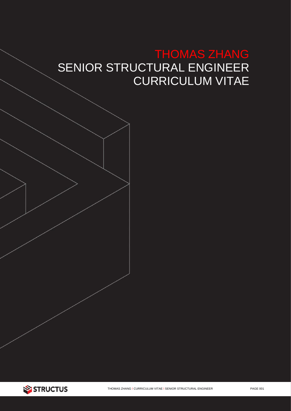# THOMAS ZHANG SENIOR STRUCTURAL ENGINEER CURRICULUM VITAE

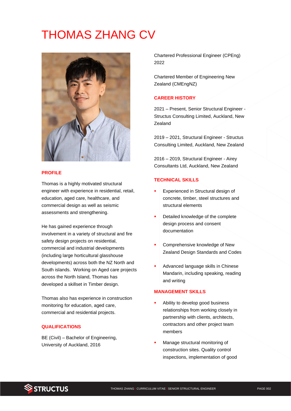# THOMAS ZHANG CV



#### **PROFILE**

Thomas is a highly motivated structural engineer with experience in residential, retail, education, aged care, healthcare, and commercial design as well as seismic assessments and strengthening.

He has gained experience through involvement in a variety of structural and fire safety design projects on residential, commercial and industrial developments (including large horticultural glasshouse developments) across both the NZ North and South islands. Working on Aged care projects across the North Island, Thomas has developed a skillset in Timber design.

Thomas also has experience in construction monitoring for education, aged care, commercial and residential projects.

## **QUALIFICATIONS**

BE (Civil) – Bachelor of Engineering, University of Auckland, 2016

Chartered Professional Engineer (CPEng) 2022

Chartered Member of Engineering New Zealand (CMEngNZ)

### **CAREER HISTORY**

2021 – Present, Senior Structural Engineer - Structus Consulting Limited, Auckland, New **Zealand** 

2019 – 2021, Structural Engineer - Structus Consulting Limited, Auckland, New Zealand

2016 – 2019, Structural Engineer - Airey Consultants Ltd, Auckland, New Zealand

#### **TECHNICAL SKILLS**

- **Experienced in Structural design of** concrete, timber, steel structures and structural elements
- Detailed knowledge of the complete design process and consent documentation
- Comprehensive knowledge of New Zealand Design Standards and Codes
- Advanced language skills in Chinese Mandarin, including speaking, reading and writing

## **MANAGEMENT SKILLS**

- Ability to develop good business relationships from working closely in partnership with clients, architects, contractors and other project team members
- Manage structural monitoring of construction sites. Quality control inspections, implementation of good

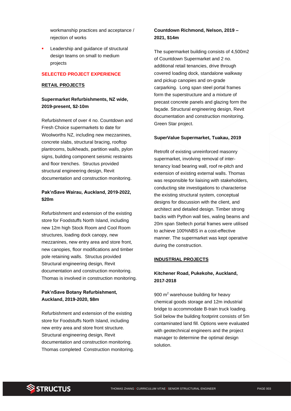workmanship practices and acceptance / rejection of works

Leadership and guidance of structural design teams on small to medium projects

#### **SELECTED PROJECT EXPERIENCE**

#### **RETAIL PROJECTS**

## **Supermarket Refurbishments, NZ wide, 2019-present, \$2-10m**

Refurbishment of over 4 no. Countdown and Fresh Choice supermarkets to date for Woolworths NZ, including new mezzanines, concrete slabs, structural bracing, rooftop plantrooms, bulkheads, partition walls, pylon signs, building component seismic restraints and floor trenches. Structus provided structural engineering design, Revit documentation and construction monitoring.

## **Pak'nSave Wairau, Auckland, 2019-2022, \$20m**

Refurbishment and extension of the existing store for Foodstuffs North Island, including new 12m high Stock Room and Cool Room structures, loading dock canopy, new mezzanines, new entry area and store front, new canopies, floor modifications and timber pole retaining walls. Structus provided Structural engineering design, Revit documentation and construction monitoring. Thomas is involved in construction monitoring.

# **Pak'nSave Botany Refurbishment, Auckland, 2019-2020, \$8m**

Refurbishment and extension of the existing store for Foodstuffs North Island, including new entry area and store front structure. Structural engineering design, Revit documentation and construction monitoring. Thomas completed Construction monitoring.

## **Countdown Richmond, Nelson, 2019 – 2021, \$14m**

The supermarket building consists of 4,500m2 of Countdown Supermarket and 2 no. additional retail tenancies, drive through covered loading dock, standalone walkway and pickup canopies and on-grade carparking. Long span steel portal frames form the superstructure and a mixture of precast concrete panels and glazing form the façade. Structural engineering design, Revit documentation and construction monitoring. Green Star project.

#### **SuperValue Supermarket, Tuakau, 2019**

Retrofit of existing unreinforced masonry supermarket, involving removal of intertenancy load bearing wall, roof re-pitch and extension of existing external walls. Thomas was responsible for liaising with stakeholders, conducting site investigations to characterise the existing structural system, conceptual designs for discussion with the client, and architect and detailed design. Timber strong backs with Python wall ties, waling beams and 20m span Steltech portal frames were utilised to achieve 100%NBS in a cost-effective manner. The supermarket was kept operative during the construction.

#### **INDUSTRIAL PROJECTS**

## **Kitchener Road, Pukekohe, Auckland, 2017-2018**

900 m<sup>2</sup> warehouse building for heavy chemical goods storage and 12m industrial bridge to accommodate B-train truck loading. Soil below the building footprint consists of 5m contaminated land fill. Options were evaluated with geotechnical engineers and the project manager to determine the optimal design solution.

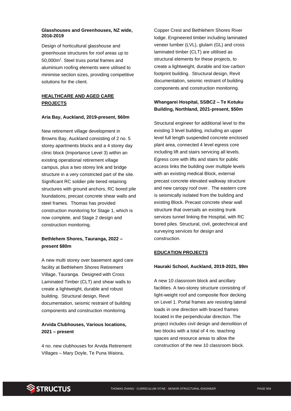#### **Glasshouses and Greenhouses, NZ wide, 2016-2019**

Design of horticultural glasshouse and greenhouse structures for roof areas up to 50,000m<sup>2</sup>. Steel truss portal frames and aluminium roofing elements were utilised to minimise section sizes, providing competitive solutions for the client.

## **HEALTHCARE AND AGED CARE PROJECTS**

#### **Aria Bay, Auckland, 2019-present, \$60m**

New retirement village development in Browns Bay, Auckland consisting of 2 no. 5 storey apartments blocks and a 4 storey day clinic block (Importance Level 3) within an existing operational retirement village campus, plus a two storey link and bridge structure in a very constricted part of the site. Significant RC soldier pile tiered retaining structures with ground anchors, RC bored pile foundations, precast concrete shear walls and steel frames. Thomas has provided construction monitoring for Stage 1, which is now complete, and Stage 2 design and construction monitoring.

## **Bethlehem Shores, Tauranga, 2022 – present \$80m**

A new multi storey over basement aged care facility at Bethlehem Shores Retirement Village, Tauranga. Designed with Cross Laminated Timber (CLT) and shear walls to create a lightweight, durable and robust building. Structural design, Revit documentation, seismic restraint of building components and construction monitoring.

## **Arvida Clubhouses, Various locations, 2021 – present**

4 no. new clubhouses for Arvida Retirement Villages – Mary Doyle, Te Puna Waiora,

Copper Crest and Bethlehem Shores River lodge. Engineered timber including laminated veneer lumber (LVL), glulam (GL) and cross laminated timber (CLT) are ultilised as structural elements for these projects, to create a lightweight, durable and low carbon footprint building. Structural design, Revit documentation, seismic restraint of building components and construction monitoring.

# **Whangarei Hospital, SSBC2 – Te Kotuku Building, Northland, 2021-present, \$50m**

Structural engineer for additional level to the existing 3 level building, including an upper level full length suspended concrete enclosed plant area, connected 4 level egress core including lift and stairs servicing all levels. Egress core with lifts and stairs for public access links the building over multiple levels with an existing medical Block, external precast concrete elevated walkway structure and new canopy roof over. The eastern core is seismically isolated from the building and existing Block. Precast concrete shear wall structure that oversails an existing trunk services tunnel linking the Hospital, with RC bored piles. Structural, civil, geotechnical and surveying services for design and construction.

#### **EDUCATION PROJECTS**

#### **Hauraki School, Auckland, 2019-2021, \$9m**

A new 10 classroom block and ancillary facilities. A two-storey structure consisting of light-weight roof and composite floor decking on Level 1. Portal frames are resisting lateral loads in one direction with braced frames located in the perpendicular direction. The project includes civil design and demolition of two blocks with a total of 4 no. teaching spaces and resource areas to allow the construction of the new 10 classroom block.

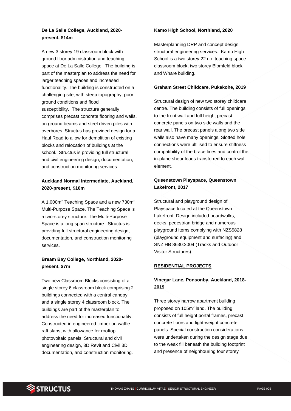# **De La Salle College, Auckland, 2020 present, \$14m**

A new 3 storey 19 classroom block with ground floor administration and teaching space at De La Salle College. The building is part of the masterplan to address the need for larger teaching spaces and increased functionality. The building is constructed on a challenging site, with steep topography, poor ground conditions and flood susceptibility. The structure generally comprises precast concrete flooring and walls, on ground beams and steel driven piles with overbores. Structus has provided design for a Haul Road to allow for demolition of existing blocks and relocation of buildings at the school. Structus is providing full structural and civil engineering design, documentation, and construction monitoring services.

## **Auckland Normal Intermediate, Auckland, 2020-present, \$10m**

A 1,000m<sup>2</sup> Teaching Space and a new 730m<sup>2</sup> Multi-Purpose Space. The Teaching Space is a two-storey structure. The Multi-Purpose Space is a long span structure. Structus is providing full structural engineering design, documentation, and construction monitoring services.

# **Bream Bay College, Northland, 2020 present, \$7m**

Two new Classroom Blocks consisting of a single storey 6 classroom block comprising 2 buildings connected with a central canopy, and a single storey 4 classroom block. The buildings are part of the masterplan to address the need for increased functionality. Constructed in engineered timber on waffle raft slabs, with allowance for rooftop photovoltaic panels. Structural and civil engineering design, 3D Revit and Civil 3D documentation, and construction monitoring.

## **Kamo High School, Northland, 2020**

Masterplanning DRP and concept design structural engineering services. Kamo High School is a two storey 22 no. teaching space classroom block, two storey Blomfeld block and Whare building.

#### **Graham Street Childcare, Pukekohe, 2019**

Structural design of new two storey childcare centre. The building consists of full openings to the front wall and full height precast concrete panels on two side walls and the rear wall. The precast panels along two side walls also have many openings. Slotted hole connections were ultilised to ensure stiffness compatibility of the brace lines and control the in-plane shear loads transferred to each wall element.

## **Queenstown Playspace, Queenstown Lakefront, 2017**

Structural and playground design of Playspace located at the Queenstown Lakefront. Design included boardwalks, decks, pedestrian bridge and numerous playground items complying with NZS5828 (playground equipment and surfacing) and SNZ HB 8630:2004 (Tracks and Outdoor Visitor Structures).

#### **RESIDENTIAL PROJECTS**

# **Vinegar Lane, Ponsonby, Auckland, 2018- 2019**

Three storey narrow apartment building proposed on  $105m^2$  land. The building consists of full height portal frames, precast concrete floors and light-weight concrete panels. Special construction considerations were undertaken during the design stage due to the weak fill beneath the building footprint and presence of neighbouring four storey

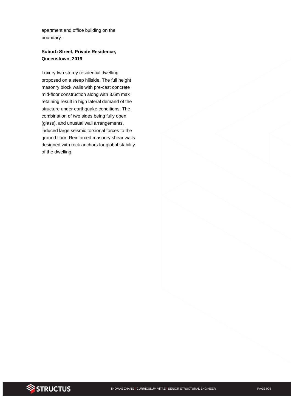apartment and office building on the boundary.

## **Suburb Street, Private Residence, Queenstown, 2019**

Luxury two storey residential dwelling proposed on a steep hillside. The full height masonry block walls with pre-cast concrete mid-floor construction along with 3.6m max retaining result in high lateral demand of the structure under earthquake conditions. The combination of two sides being fully open (glass), and unusual wall arrangements, induced large seismic torsional forces to the ground floor. Reinforced masonry shear walls designed with rock anchors for global stability of the dwelling.